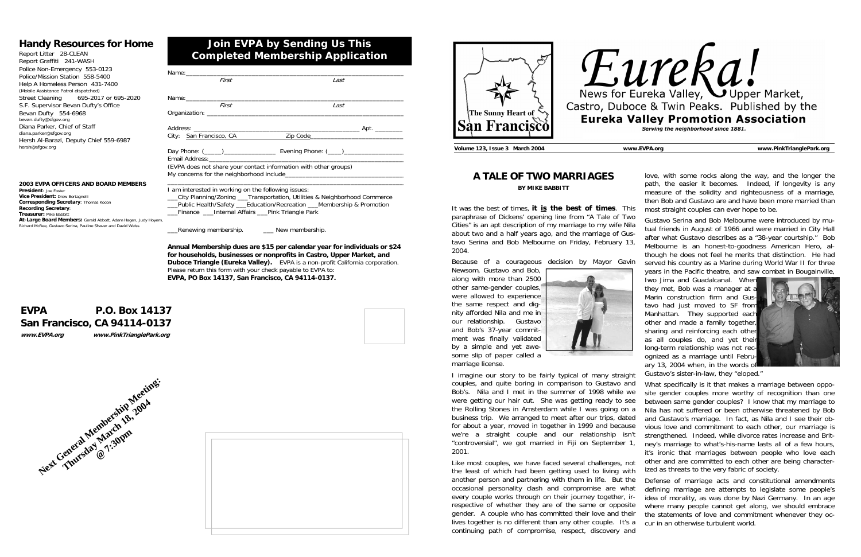| Name: when the contract of the contract of the contract of the contract of the contract of the contract of the contract of the contract of the contract of the contract of the contract of the contract of the contract of the |                                                                             |
|--------------------------------------------------------------------------------------------------------------------------------------------------------------------------------------------------------------------------------|-----------------------------------------------------------------------------|
| First                                                                                                                                                                                                                          | Last                                                                        |
|                                                                                                                                                                                                                                |                                                                             |
| First                                                                                                                                                                                                                          | Last                                                                        |
|                                                                                                                                                                                                                                |                                                                             |
|                                                                                                                                                                                                                                |                                                                             |
|                                                                                                                                                                                                                                | City: San Francisco, CA Zip Code 2010 2020                                  |
|                                                                                                                                                                                                                                |                                                                             |
| (EVPA does not share your contact information with other groups)                                                                                                                                                               |                                                                             |
|                                                                                                                                                                                                                                |                                                                             |
| I am interested in working on the following issues:                                                                                                                                                                            | __City Planning/Zoning ___Transportation, Utilities & Neighborhood Commerce |
|                                                                                                                                                                                                                                | __Public Health/Safety ___Education/Recreation ___Membership & Promotion    |
| Finance Internal Affairs Pink Triangle Park                                                                                                                                                                                    |                                                                             |

\_\_\_Renewing membership. \_\_\_ New membership.

**Annual Membership dues are \$15 per calendar year for individuals or \$24 for households, businesses or nonprofits in Castro, Upper Market, and Duboce Triangle (Eureka Valley).** EVPA is a non-profit California corporation. Please return this form with your check payable to EVPA to: **EVPA, PO Box 14137, San Francisco, CA 94114-0137.**

## **Join EVPA by Sending Us This Completed Membership Application**

### **Handy Resources for Home**

Report Litter 28-CLEAN Report Graffiti 241-WASH Police Non-Emergency 553-0123 Police/Mission Station 558-5400 Help A Homeless Person 431-7400 (Mobile Assistance Patrol dispatched) Street Cleaning 695-2017 or 695-2020 S.F. Supervisor Bevan Dufty's Office Bevan Dufty 554-6968 bevan.dufty@sfgov.org Diana Parker, Chief of Staff diana.parker@sfgov.org Hersh Al-Barazi, Deputy Chief 559-6987 hersh@sfgov.org

### **EVPA P.O. Box 14137 San Francisco, CA 94114-0137 www.EVPA.org www.PinkTrianglePark.org**



#### **2003 EVPA OFFICERS AND BOARD MEMBERS President**: Joe Foster

 **Vice President:** Drew Bertagnolli **Corresponding Secretary**: Thomas Kocon **Recording Secretary**: **Treasurer:** Mike Babbitt **At-Large Board Members:** Gerald Abbott, Adam Hagen, Judy Hoyem, Richard McRee, Gustavo Serina, Pauline Shaver and David Weiss







- 
- though he does not feel he merits that distinction. He had
- served his country as a Marine during World War II for three years in the Pacific theatre, and saw combat in Bougainville, Iwo Jima and Guadalcanal. When they met, Bob was a manager at

**Volume 123, Issue 3 March 2004 www.EVPA.org www.PinkTrianglePark.org** 

### **A TALE OF TWO MARRIAGES BY MIKE BABBITT**

Because of a courageous decision by Mayor Gavin

Newsom, Gustavo and Bob, along with more than 2500 other same-gender couples, were allowed to experience the same respect and dignity afforded Nila and me in our relationship. Gustavo and Bob's 37-year commitment was finally validated by a simple and yet awesome slip of paper called a marriage license.



It was the best of times, **it is the best of times**. This paraphrase of Dickens' opening line from "A Tale of Two Cities" is an apt description of my marriage to my wife Nila about two and a half years ago, and the marriage of Gustavo Serina and Bob Melbourne on Friday, February 13, 2004. most straight couples can ever hope to be. Gustavo Serina and Bob Melbourne were introduced by mutual friends in August of 1966 and were married in City Hall after what Gustavo describes as a "38-year courtship." Bob Melbourne is an honest-to-goodness American Hero, al-

love, with some rocks along the way, and the longer the path, the easier it becomes. Indeed, if longevity is any measure of the solidity and righteousness of a marriage, then Bob and Gustavo are and have been more married than

I imagine our story to be fairly typical of many straight couples, and quite boring in comparison to Gustavo and Bob's. Nila and I met in the summer of 1998 while we were getting our hair cut. She was getting ready to see the Rolling Stones in Amsterdam while I was going on a business trip. We arranged to meet after our trips, dated for about a year, moved in together in 1999 and because we're a straight couple and our relationship isn't "controversial", we got married in Fiji on September 1, 2001. Like most couples, we have faced several challenges, not Gustavo's sister-in-law, they "eloped." What specifically is it that makes a marriage between opposite gender couples more worthy of recognition than one between same gender couples? I know that my marriage to Nila has not suffered or been otherwise threatened by Bob and Gustavo's marriage. In fact, as Nila and I see their obvious love and commitment to each other, our marriage is strengthened. Indeed, while divorce rates increase and Britney's marriage to what's-his-name lasts all of a few hours, it's ironic that marriages between people who love each other and are committed to each other are being characterized as threats to the very fabric of society.

the least of which had been getting used to living with another person and partnering with them in life. But the occasional personality clash and compromise are what every couple works through on their journey together, irrespective of whether they are of the same or opposite gender. A couple who has committed their love and their lives together is no different than any other couple. It's a continuing path of compromise, respect, discovery and Defense of marriage acts and constitutional amendments defining marriage are attempts to legislate some people's idea of morality, as was done by Nazi Germany. In an age where many people cannot get along, we should embrace the statements of love and commitment whenever they occur in an otherwise turbulent world.

# Eureka Valley, Oupper Market, Castro, Duboce & Twin Peaks. Published by the **Eureka Valley Promotion Association** Serving the neighborhood since 1881.

Marin construction firm and Gustavo had just moved to SF from Manhattan. They supported each other and made a family together, sharing and reinforcing each other as all couples do, and yet their long-term relationship was not recognized as a marriage until February 13, 2004 when, in the words of